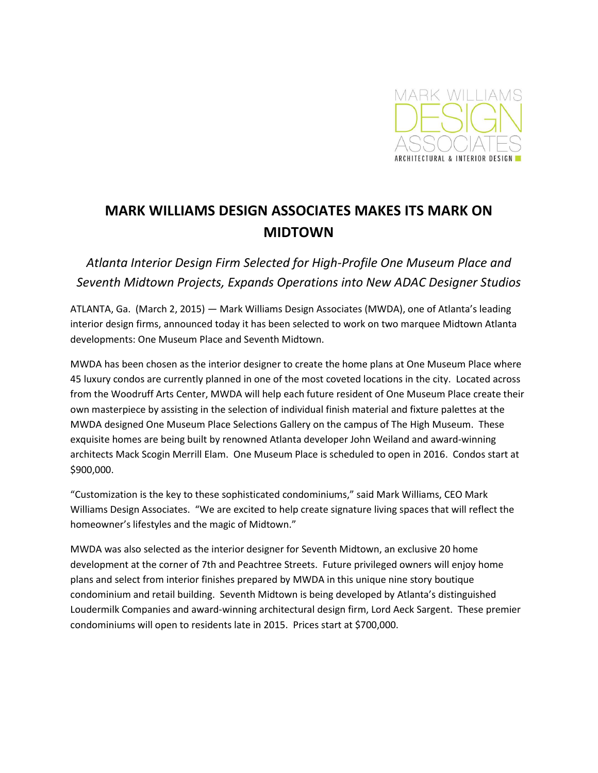

## **MARK WILLIAMS DESIGN ASSOCIATES MAKES ITS MARK ON MIDTOWN**

*Atlanta Interior Design Firm Selected for High-Profile One Museum Place and Seventh Midtown Projects, Expands Operations into New ADAC Designer Studios*

ATLANTA, Ga. (March 2, 2015) — Mark Williams Design Associates (MWDA), one of Atlanta's leading interior design firms, announced today it has been selected to work on two marquee Midtown Atlanta developments: One Museum Place and Seventh Midtown.

MWDA has been chosen as the interior designer to create the home plans at One Museum Place where 45 luxury condos are currently planned in one of the most coveted locations in the city. Located across from the Woodruff Arts Center, MWDA will help each future resident of One Museum Place create their own masterpiece by assisting in the selection of individual finish material and fixture palettes at the MWDA designed One Museum Place Selections Gallery on the campus of The High Museum. These exquisite homes are being built by renowned Atlanta developer John Weiland and award-winning architects Mack Scogin Merrill Elam. One Museum Place is scheduled to open in 2016. Condos start at \$900,000.

"Customization is the key to these sophisticated condominiums," said Mark Williams, CEO Mark Williams Design Associates. "We are excited to help create signature living spaces that will reflect the homeowner's lifestyles and the magic of Midtown."

MWDA was also selected as the interior designer for Seventh Midtown, an exclusive 20 home development at the corner of 7th and Peachtree Streets. Future privileged owners will enjoy home plans and select from interior finishes prepared by MWDA in this unique nine story boutique condominium and retail building. Seventh Midtown is being developed by Atlanta's distinguished Loudermilk Companies and award-winning architectural design firm, Lord Aeck Sargent. These premier condominiums will open to residents late in 2015. Prices start at \$700,000.